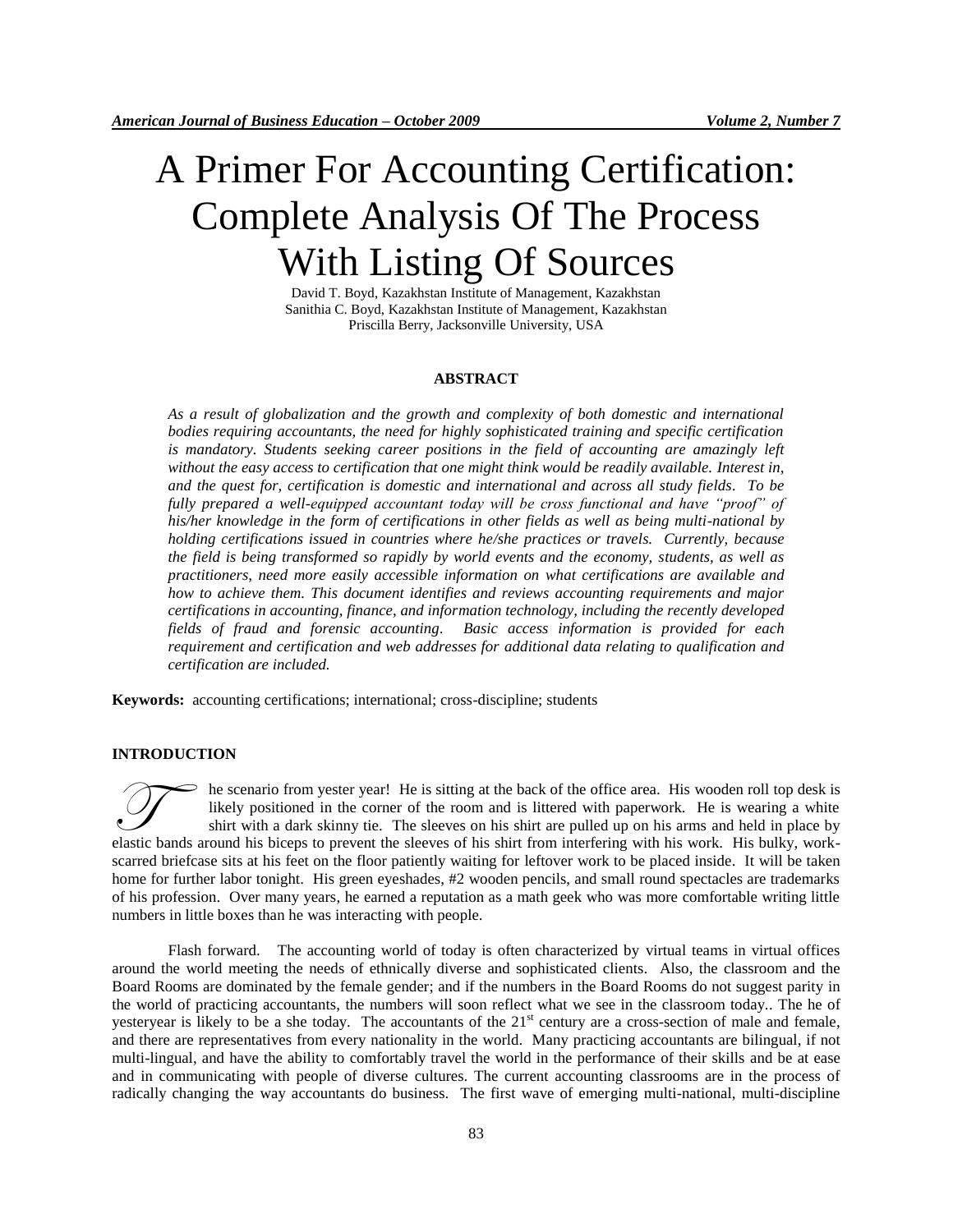# A Primer For Accounting Certification: Complete Analysis Of The Process With Listing Of Sources

David T. Boyd, Kazakhstan Institute of Management, Kazakhstan Sanithia C. Boyd, Kazakhstan Institute of Management, Kazakhstan Priscilla Berry, Jacksonville University, USA

#### **ABSTRACT**

*As a result of globalization and the growth and complexity of both domestic and international bodies requiring accountants, the need for highly sophisticated training and specific certification is mandatory. Students seeking career positions in the field of accounting are amazingly left without the easy access to certification that one might think would be readily available. Interest in, and the quest for, certification is domestic and international and across all study fields. To be fully prepared a well-equipped accountant today will be cross functional and have "proof" of his/her knowledge in the form of certifications in other fields as well as being multi-national by holding certifications issued in countries where he/she practices or travels. Currently, because the field is being transformed so rapidly by world events and the economy, students, as well as practitioners, need more easily accessible information on what certifications are available and how to achieve them. This document identifies and reviews accounting requirements and major certifications in accounting, finance, and information technology, including the recently developed fields of fraud and forensic accounting. Basic access information is provided for each requirement and certification and web addresses for additional data relating to qualification and certification are included.*

**Keywords:** accounting certifications; international; cross-discipline; students

## **INTRODUCTION**

he scenario from yester year! He is sitting at the back of the office area. His wooden roll top desk is likely positioned in the corner of the room and is littered with paperwork. He is wearing a white shirt with a dark skinny tie. The sleeves on his shirt are pulled up on his arms and held in place by elastic bands around his biceps to prevent the sleeves of his shirt from interfering with his worden roll top desk is<br>elastic bands around his biceps to prevent the sleeves of his shirt from interfering with his work. His scarred briefcase sits at his feet on the floor patiently waiting for leftover work to be placed inside. It will be taken home for further labor tonight. His green eyeshades, #2 wooden pencils, and small round spectacles are trademarks of his profession. Over many years, he earned a reputation as a math geek who was more comfortable writing little numbers in little boxes than he was interacting with people.

Flash forward. The accounting world of today is often characterized by virtual teams in virtual offices around the world meeting the needs of ethnically diverse and sophisticated clients. Also, the classroom and the Board Rooms are dominated by the female gender; and if the numbers in the Board Rooms do not suggest parity in the world of practicing accountants, the numbers will soon reflect what we see in the classroom today.. The he of yesteryear is likely to be a she today. The accountants of the  $21<sup>st</sup>$  century are a cross-section of male and female, and there are representatives from every nationality in the world. Many practicing accountants are bilingual, if not multi-lingual, and have the ability to comfortably travel the world in the performance of their skills and be at ease and in communicating with people of diverse cultures. The current accounting classrooms are in the process of radically changing the way accountants do business. The first wave of emerging multi-national, multi-discipline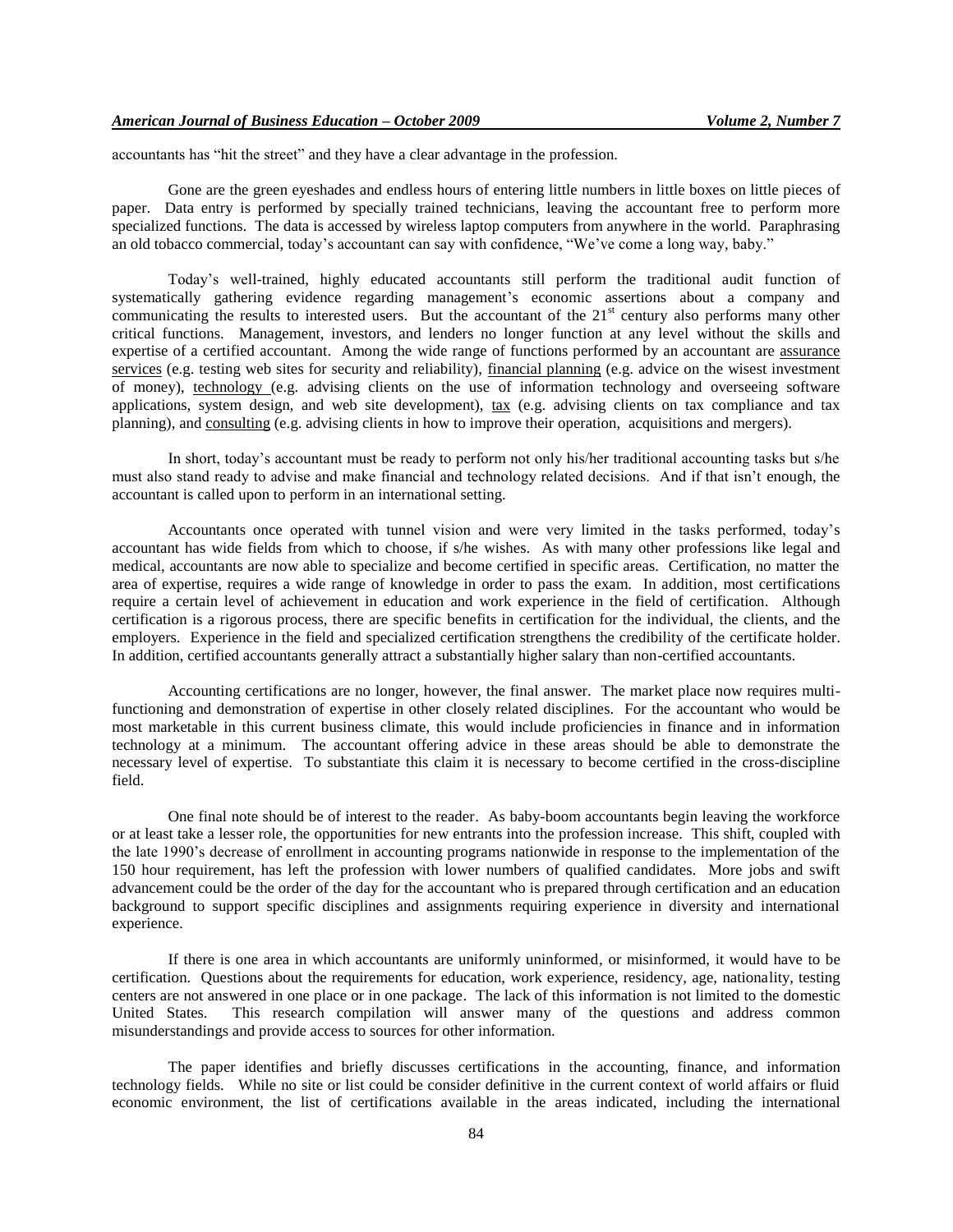accountants has "hit the street" and they have a clear advantage in the profession.

Gone are the green eyeshades and endless hours of entering little numbers in little boxes on little pieces of paper. Data entry is performed by specially trained technicians, leaving the accountant free to perform more specialized functions. The data is accessed by wireless laptop computers from anywhere in the world. Paraphrasing an old tobacco commercial, today's accountant can say with confidence, "We've come a long way, baby."

Today's well-trained, highly educated accountants still perform the traditional audit function of systematically gathering evidence regarding management's economic assertions about a company and communicating the results to interested users. But the accountant of the  $21<sup>st</sup>$  century also performs many other critical functions. Management, investors, and lenders no longer function at any level without the skills and expertise of a certified accountant. Among the wide range of functions performed by an accountant are assurance services (e.g. testing web sites for security and reliability), financial planning (e.g. advice on the wisest investment of money), technology (e.g. advising clients on the use of information technology and overseeing software applications, system design, and web site development), tax (e.g. advising clients on tax compliance and tax planning), and consulting (e.g. advising clients in how to improve their operation, acquisitions and mergers).

In short, today's accountant must be ready to perform not only his/her traditional accounting tasks but s/he must also stand ready to advise and make financial and technology related decisions. And if that isn't enough, the accountant is called upon to perform in an international setting.

Accountants once operated with tunnel vision and were very limited in the tasks performed, today's accountant has wide fields from which to choose, if s/he wishes. As with many other professions like legal and medical, accountants are now able to specialize and become certified in specific areas. Certification, no matter the area of expertise, requires a wide range of knowledge in order to pass the exam. In addition, most certifications require a certain level of achievement in education and work experience in the field of certification. Although certification is a rigorous process, there are specific benefits in certification for the individual, the clients, and the employers. Experience in the field and specialized certification strengthens the credibility of the certificate holder. In addition, certified accountants generally attract a substantially higher salary than non-certified accountants.

Accounting certifications are no longer, however, the final answer. The market place now requires multifunctioning and demonstration of expertise in other closely related disciplines. For the accountant who would be most marketable in this current business climate, this would include proficiencies in finance and in information technology at a minimum. The accountant offering advice in these areas should be able to demonstrate the necessary level of expertise. To substantiate this claim it is necessary to become certified in the cross-discipline field.

One final note should be of interest to the reader. As baby-boom accountants begin leaving the workforce or at least take a lesser role, the opportunities for new entrants into the profession increase. This shift, coupled with the late 1990's decrease of enrollment in accounting programs nationwide in response to the implementation of the 150 hour requirement, has left the profession with lower numbers of qualified candidates. More jobs and swift advancement could be the order of the day for the accountant who is prepared through certification and an education background to support specific disciplines and assignments requiring experience in diversity and international experience.

If there is one area in which accountants are uniformly uninformed, or misinformed, it would have to be certification. Questions about the requirements for education, work experience, residency, age, nationality, testing centers are not answered in one place or in one package. The lack of this information is not limited to the domestic United States. This research compilation will answer many of the questions and address common misunderstandings and provide access to sources for other information.

The paper identifies and briefly discusses certifications in the accounting, finance, and information technology fields. While no site or list could be consider definitive in the current context of world affairs or fluid economic environment, the list of certifications available in the areas indicated, including the international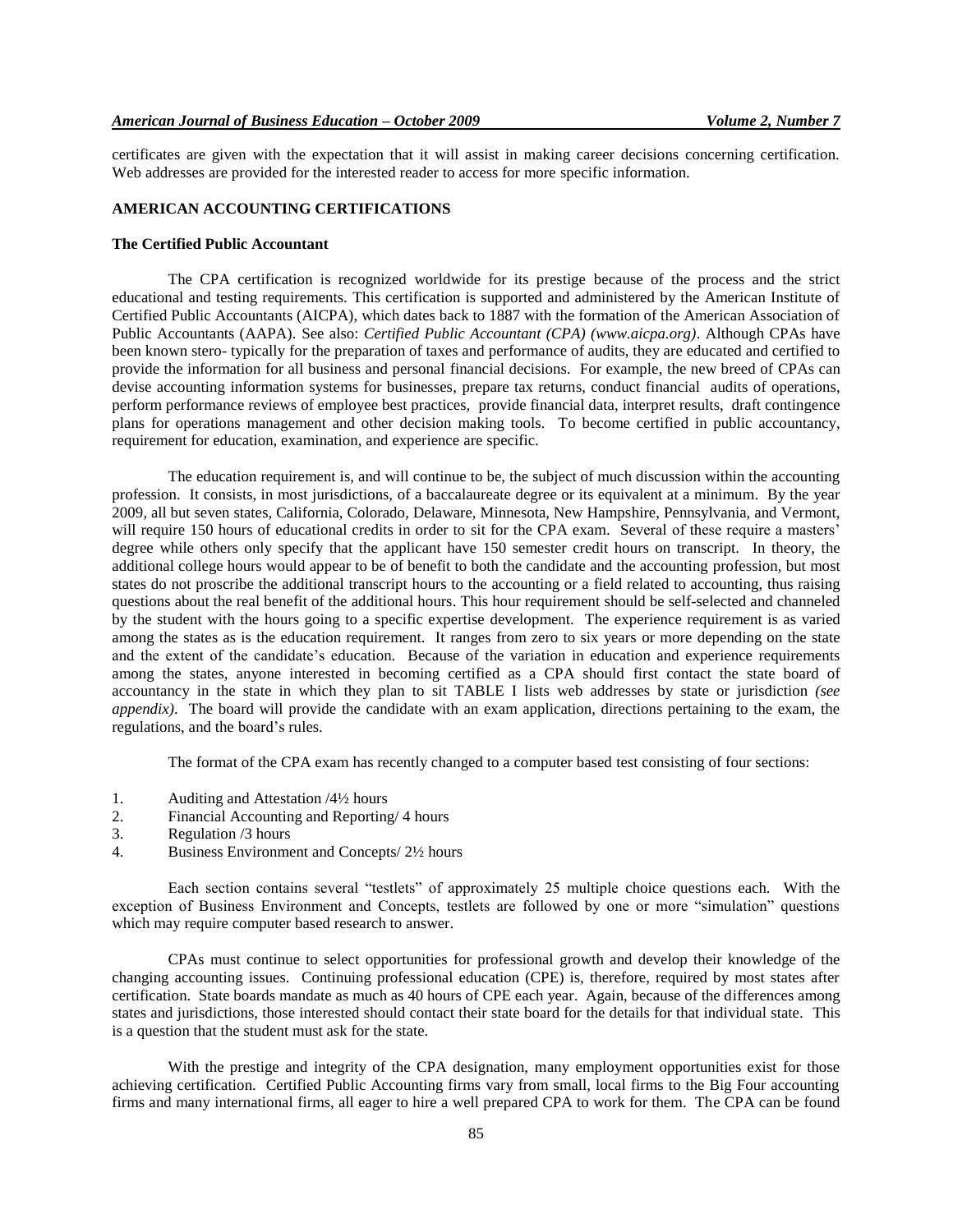certificates are given with the expectation that it will assist in making career decisions concerning certification. Web addresses are provided for the interested reader to access for more specific information.

#### **AMERICAN ACCOUNTING CERTIFICATIONS**

#### **The Certified Public Accountant**

The CPA certification is recognized worldwide for its prestige because of the process and the strict educational and testing requirements. This certification is supported and administered by the American Institute of Certified Public Accountants (AICPA), which dates back to 1887 with the formation of the American Association of Public Accountants (AAPA). See also: *Certified Public Accountant (CPA) (www.aicpa.org)*. Although CPAs have been known stero- typically for the preparation of taxes and performance of audits, they are educated and certified to provide the information for all business and personal financial decisions. For example, the new breed of CPAs can devise accounting information systems for businesses, prepare tax returns, conduct financial audits of operations, perform performance reviews of employee best practices, provide financial data, interpret results, draft contingence plans for operations management and other decision making tools. To become certified in public accountancy, requirement for education, examination, and experience are specific.

The education requirement is, and will continue to be, the subject of much discussion within the accounting profession. It consists, in most jurisdictions, of a baccalaureate degree or its equivalent at a minimum. By the year 2009, all but seven states, California, Colorado, Delaware, Minnesota, New Hampshire, Pennsylvania, and Vermont, will require 150 hours of educational credits in order to sit for the CPA exam. Several of these require a masters' degree while others only specify that the applicant have 150 semester credit hours on transcript. In theory, the additional college hours would appear to be of benefit to both the candidate and the accounting profession, but most states do not proscribe the additional transcript hours to the accounting or a field related to accounting, thus raising questions about the real benefit of the additional hours. This hour requirement should be self-selected and channeled by the student with the hours going to a specific expertise development. The experience requirement is as varied among the states as is the education requirement. It ranges from zero to six years or more depending on the state and the extent of the candidate's education. Because of the variation in education and experience requirements among the states, anyone interested in becoming certified as a CPA should first contact the state board of accountancy in the state in which they plan to sit TABLE I lists web addresses by state or jurisdiction *(see appendix)*. The board will provide the candidate with an exam application, directions pertaining to the exam, the regulations, and the board's rules.

The format of the CPA exam has recently changed to a computer based test consisting of four sections:

- 1. Auditing and Attestation /4½ hours
- 2. Financial Accounting and Reporting/ 4 hours
- 3. Regulation /3 hours
- 4. Business Environment and Concepts/ 2½ hours

Each section contains several "testlets" of approximately 25 multiple choice questions each. With the exception of Business Environment and Concepts, testlets are followed by one or more "simulation" questions which may require computer based research to answer.

CPAs must continue to select opportunities for professional growth and develop their knowledge of the changing accounting issues. Continuing professional education (CPE) is, therefore, required by most states after certification. State boards mandate as much as 40 hours of CPE each year. Again, because of the differences among states and jurisdictions, those interested should contact their state board for the details for that individual state. This is a question that the student must ask for the state.

With the prestige and integrity of the CPA designation, many employment opportunities exist for those achieving certification. Certified Public Accounting firms vary from small, local firms to the Big Four accounting firms and many international firms, all eager to hire a well prepared CPA to work for them. The CPA can be found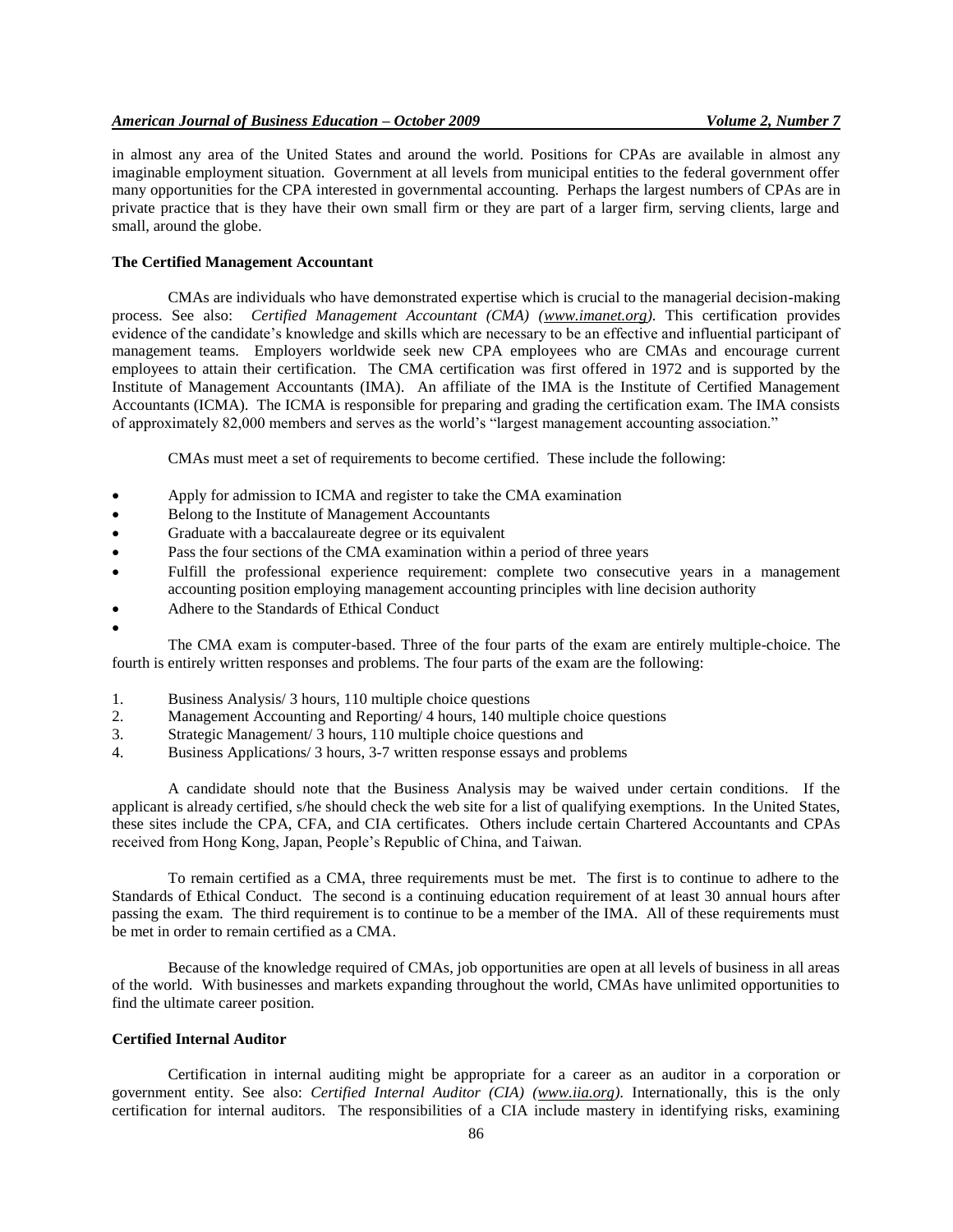in almost any area of the United States and around the world. Positions for CPAs are available in almost any imaginable employment situation. Government at all levels from municipal entities to the federal government offer many opportunities for the CPA interested in governmental accounting. Perhaps the largest numbers of CPAs are in private practice that is they have their own small firm or they are part of a larger firm, serving clients, large and small, around the globe.

#### **The Certified Management Accountant**

CMAs are individuals who have demonstrated expertise which is crucial to the managerial decision-making process. See also: *Certified Management Accountant (CMA) [\(www.imanet.org\)](http://www.imanet.org/)*. This certification provides evidence of the candidate's knowledge and skills which are necessary to be an effective and influential participant of management teams. Employers worldwide seek new CPA employees who are CMAs and encourage current employees to attain their certification. The CMA certification was first offered in 1972 and is supported by the Institute of Management Accountants (IMA). An affiliate of the IMA is the Institute of Certified Management Accountants (ICMA). The ICMA is responsible for preparing and grading the certification exam. The IMA consists of approximately 82,000 members and serves as the world's "largest management accounting association."

CMAs must meet a set of requirements to become certified. These include the following:

- Apply for admission to ICMA and register to take the CMA examination
- Belong to the Institute of Management Accountants
- Graduate with a baccalaureate degree or its equivalent
- Pass the four sections of the CMA examination within a period of three years
- Fulfill the professional experience requirement: complete two consecutive years in a management accounting position employing management accounting principles with line decision authority
- Adhere to the Standards of Ethical Conduct
- $\bullet$

The CMA exam is computer-based. Three of the four parts of the exam are entirely multiple-choice. The fourth is entirely written responses and problems. The four parts of the exam are the following:

- 1. Business Analysis/ 3 hours, 110 multiple choice questions
- 2. Management Accounting and Reporting/ 4 hours, 140 multiple choice questions
- 3. Strategic Management/ 3 hours, 110 multiple choice questions and
- 4. Business Applications/ 3 hours, 3-7 written response essays and problems

A candidate should note that the Business Analysis may be waived under certain conditions. If the applicant is already certified, s/he should check the web site for a list of qualifying exemptions. In the United States, these sites include the CPA, CFA, and CIA certificates. Others include certain Chartered Accountants and CPAs received from Hong Kong, Japan, People's Republic of China, and Taiwan.

To remain certified as a CMA, three requirements must be met. The first is to continue to adhere to the Standards of Ethical Conduct. The second is a continuing education requirement of at least 30 annual hours after passing the exam. The third requirement is to continue to be a member of the IMA. All of these requirements must be met in order to remain certified as a CMA.

Because of the knowledge required of CMAs, job opportunities are open at all levels of business in all areas of the world. With businesses and markets expanding throughout the world, CMAs have unlimited opportunities to find the ultimate career position.

#### **Certified Internal Auditor**

Certification in internal auditing might be appropriate for a career as an auditor in a corporation or government entity. See also: *Certified Internal Auditor (CIA) [\(www.iia.org\)](http://www.iia.org/)*. Internationally, this is the only certification for internal auditors. The responsibilities of a CIA include mastery in identifying risks, examining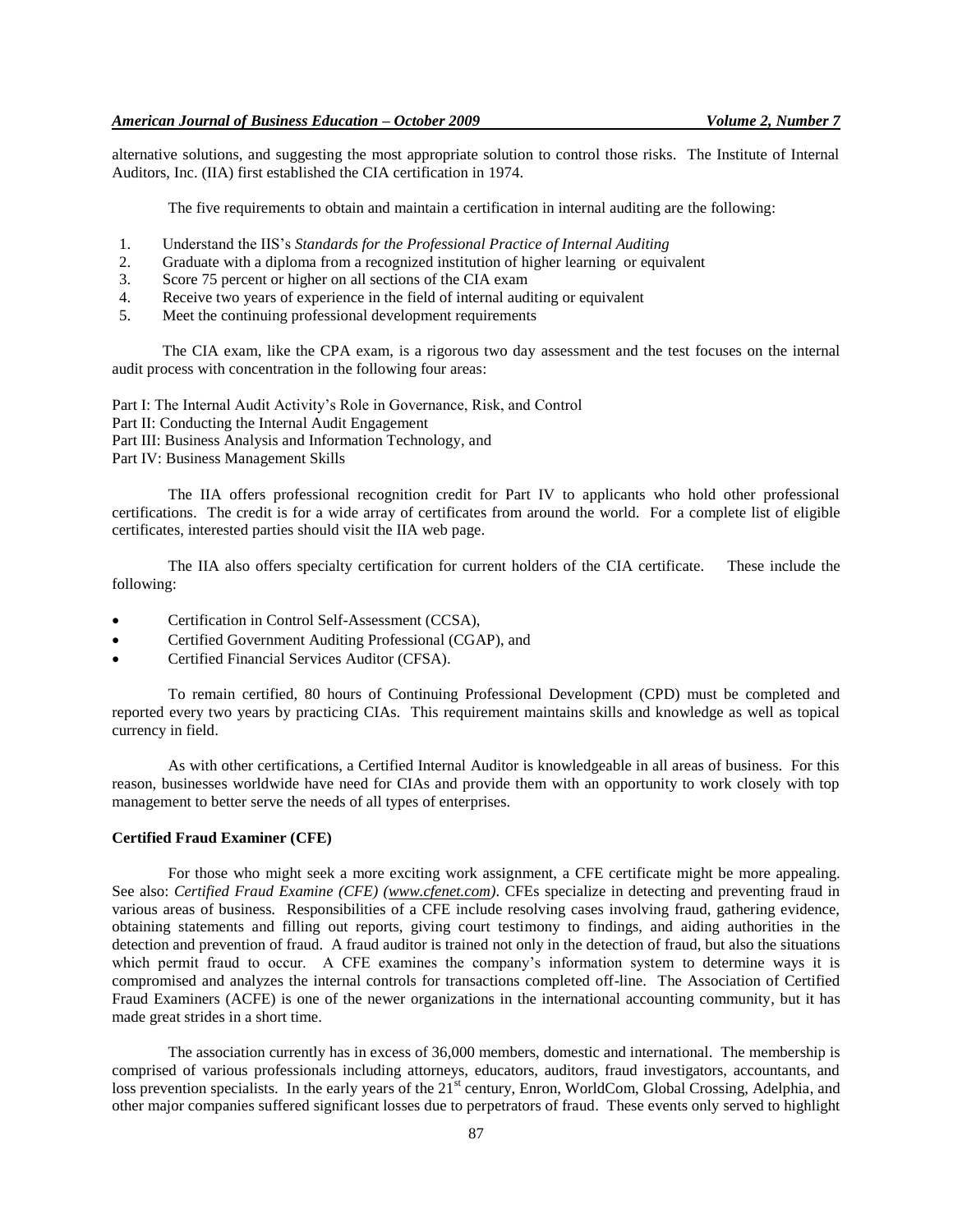alternative solutions, and suggesting the most appropriate solution to control those risks. The Institute of Internal Auditors, Inc. (IIA) first established the CIA certification in 1974.

The five requirements to obtain and maintain a certification in internal auditing are the following:

- 1. Understand the IIS's *Standards for the Professional Practice of Internal Auditing*
- 2. Graduate with a diploma from a recognized institution of higher learning or equivalent
- 3. Score 75 percent or higher on all sections of the CIA exam
- 4. Receive two years of experience in the field of internal auditing or equivalent
- 5. Meet the continuing professional development requirements

The CIA exam, like the CPA exam, is a rigorous two day assessment and the test focuses on the internal audit process with concentration in the following four areas:

Part I: The Internal Audit Activity's Role in Governance, Risk, and Control Part II: Conducting the Internal Audit Engagement Part III: Business Analysis and Information Technology, and Part IV: Business Management Skills

The IIA offers professional recognition credit for Part IV to applicants who hold other professional certifications. The credit is for a wide array of certificates from around the world. For a complete list of eligible certificates, interested parties should visit the IIA web page.

The IIA also offers specialty certification for current holders of the CIA certificate. These include the following:

- Certification in Control Self-Assessment (CCSA),
- Certified Government Auditing Professional (CGAP), and
- Certified Financial Services Auditor (CFSA).

To remain certified, 80 hours of Continuing Professional Development (CPD) must be completed and reported every two years by practicing CIAs. This requirement maintains skills and knowledge as well as topical currency in field.

As with other certifications, a Certified Internal Auditor is knowledgeable in all areas of business. For this reason, businesses worldwide have need for CIAs and provide them with an opportunity to work closely with top management to better serve the needs of all types of enterprises.

## **Certified Fraud Examiner (CFE)**

For those who might seek a more exciting work assignment, a CFE certificate might be more appealing. See also: *Certified Fraud Examine (CFE) [\(www.cfenet.com\)](http://www.cfenet.com/)*. CFEs specialize in detecting and preventing fraud in various areas of business. Responsibilities of a CFE include resolving cases involving fraud, gathering evidence, obtaining statements and filling out reports, giving court testimony to findings, and aiding authorities in the detection and prevention of fraud. A fraud auditor is trained not only in the detection of fraud, but also the situations which permit fraud to occur. A CFE examines the company's information system to determine ways it is compromised and analyzes the internal controls for transactions completed off-line. The Association of Certified Fraud Examiners (ACFE) is one of the newer organizations in the international accounting community, but it has made great strides in a short time.

The association currently has in excess of 36,000 members, domestic and international. The membership is comprised of various professionals including attorneys, educators, auditors, fraud investigators, accountants, and loss prevention specialists. In the early years of the 21<sup>st</sup> century, Enron, WorldCom, Global Crossing, Adelphia, and other major companies suffered significant losses due to perpetrators of fraud. These events only served to highlight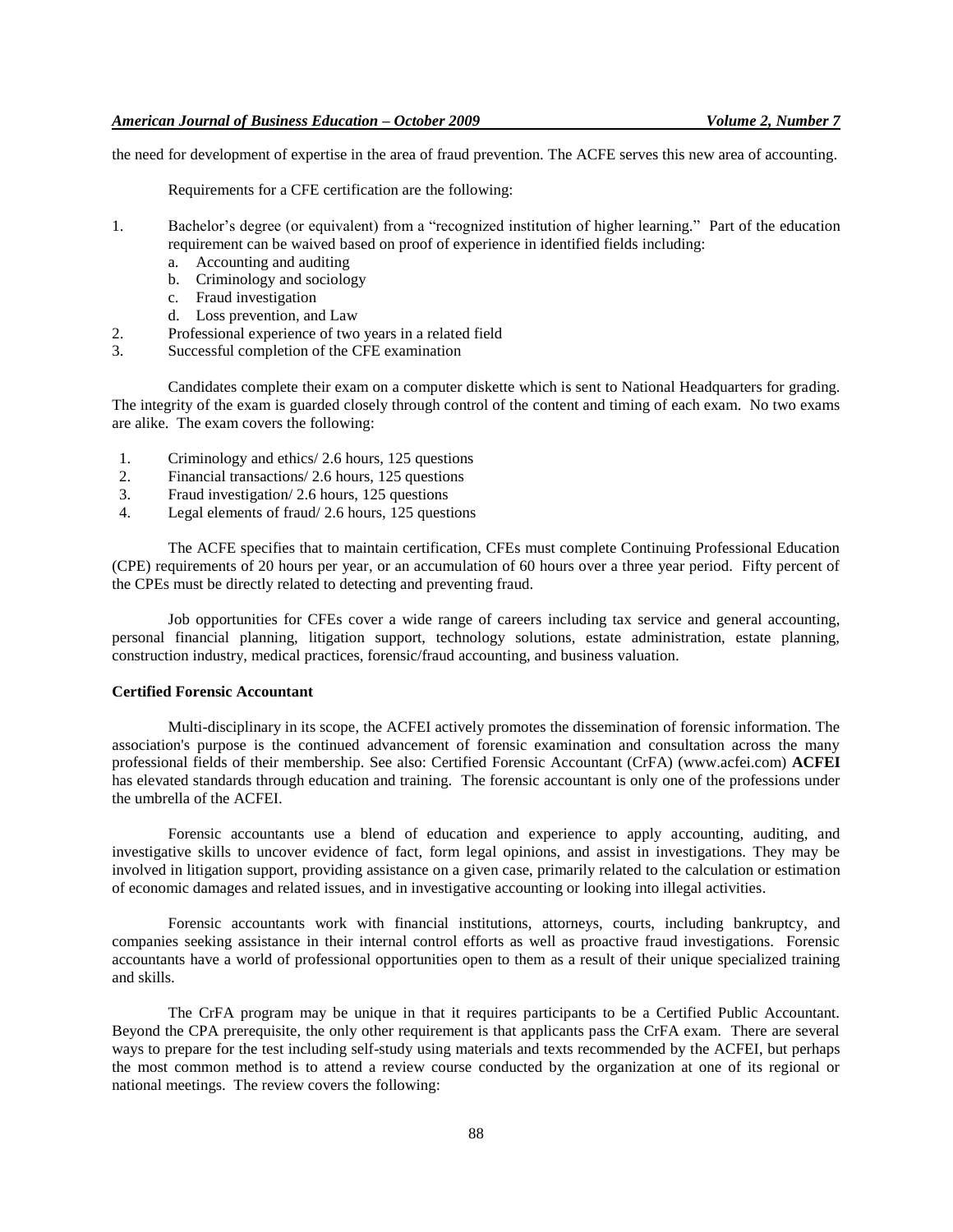the need for development of expertise in the area of fraud prevention. The ACFE serves this new area of accounting.

Requirements for a CFE certification are the following:

- 1. Bachelor's degree (or equivalent) from a "recognized institution of higher learning." Part of the education requirement can be waived based on proof of experience in identified fields including:
	- a. Accounting and auditing
	- b. Criminology and sociology
	- c. Fraud investigation
	- d. Loss prevention, and Law
- 2. Professional experience of two years in a related field
- 3. Successful completion of the CFE examination

Candidates complete their exam on a computer diskette which is sent to National Headquarters for grading. The integrity of the exam is guarded closely through control of the content and timing of each exam. No two exams are alike. The exam covers the following:

- 1. Criminology and ethics/ 2.6 hours, 125 questions
- 2. Financial transactions/ 2.6 hours, 125 questions
- 3. Fraud investigation/ 2.6 hours, 125 questions
- 4. Legal elements of fraud/ 2.6 hours, 125 questions

The ACFE specifies that to maintain certification, CFEs must complete Continuing Professional Education (CPE) requirements of 20 hours per year, or an accumulation of 60 hours over a three year period. Fifty percent of the CPEs must be directly related to detecting and preventing fraud.

Job opportunities for CFEs cover a wide range of careers including tax service and general accounting, personal financial planning, litigation support, technology solutions, estate administration, estate planning, construction industry, medical practices, forensic/fraud accounting, and business valuation.

## **Certified Forensic Accountant**

Multi-disciplinary in its scope, the ACFEI actively promotes the dissemination of forensic information. The association's purpose is the continued advancement of forensic examination and consultation across the many professional fields of their membership. See also: Certified Forensic Accountant (CrFA) (www.acfei.com) **ACFEI** has elevated standards through education and training. The forensic accountant is only one of the professions under the umbrella of the ACFEI.

Forensic accountants use a blend of education and experience to apply accounting, auditing, and investigative skills to uncover evidence of fact, form legal opinions, and assist in investigations. They may be involved in litigation support, providing assistance on a given case, primarily related to the calculation or estimation of economic damages and related issues, and in investigative accounting or looking into illegal activities.

Forensic accountants work with financial institutions, attorneys, courts, including bankruptcy, and companies seeking assistance in their internal control efforts as well as proactive fraud investigations. Forensic accountants have a world of professional opportunities open to them as a result of their unique specialized training and skills.

The CrFA program may be unique in that it requires participants to be a Certified Public Accountant. Beyond the CPA prerequisite, the only other requirement is that applicants pass the CrFA exam. There are several ways to prepare for the test including self-study using materials and texts recommended by the ACFEI, but perhaps the most common method is to attend a review course conducted by the organization at one of its regional or national meetings. The review covers the following: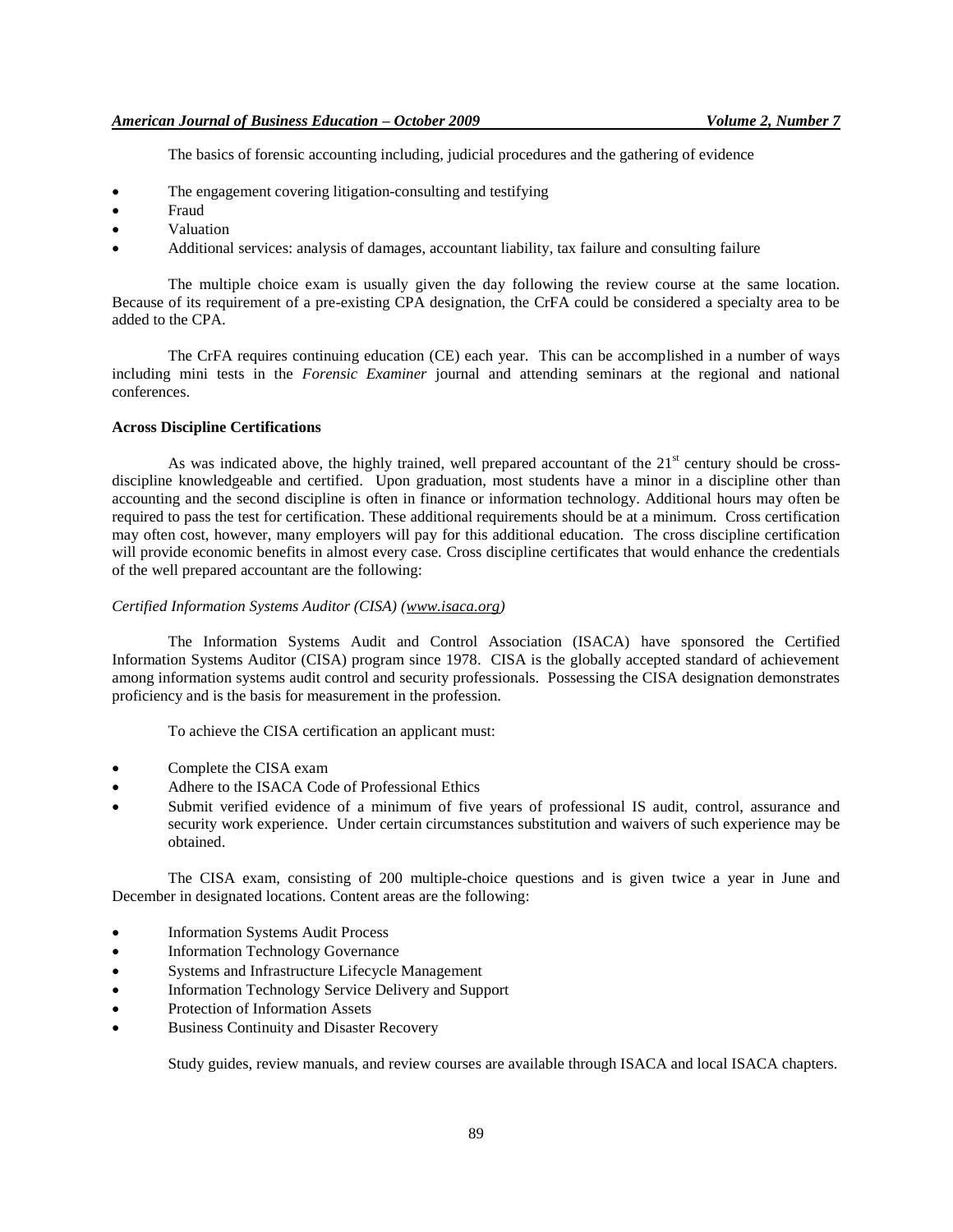The basics of forensic accounting including, judicial procedures and the gathering of evidence

- The engagement covering litigation-consulting and testifying
- Fraud
- Valuation
- Additional services: analysis of damages, accountant liability, tax failure and consulting failure

The multiple choice exam is usually given the day following the review course at the same location. Because of its requirement of a pre-existing CPA designation, the CrFA could be considered a specialty area to be added to the CPA.

The CrFA requires continuing education (CE) each year. This can be accomplished in a number of ways including mini tests in the *Forensic Examiner* journal and attending seminars at the regional and national conferences.

## **Across Discipline Certifications**

As was indicated above, the highly trained, well prepared accountant of the  $21<sup>st</sup>$  century should be crossdiscipline knowledgeable and certified. Upon graduation, most students have a minor in a discipline other than accounting and the second discipline is often in finance or information technology. Additional hours may often be required to pass the test for certification. These additional requirements should be at a minimum. Cross certification may often cost, however, many employers will pay for this additional education. The cross discipline certification will provide economic benefits in almost every case. Cross discipline certificates that would enhance the credentials of the well prepared accountant are the following:

#### *Certified Information Systems Auditor (CISA) [\(www.isaca.org\)](http://www.isaca.org/)*

The Information Systems Audit and Control Association (ISACA) have sponsored the Certified Information Systems Auditor (CISA) program since 1978. CISA is the globally accepted standard of achievement among information systems audit control and security professionals. Possessing the CISA designation demonstrates proficiency and is the basis for measurement in the profession.

To achieve the CISA certification an applicant must:

- Complete the CISA exam
- Adhere to the ISACA Code of Professional Ethics
- Submit verified evidence of a minimum of five years of professional IS audit, control, assurance and security work experience. Under certain circumstances substitution and waivers of such experience may be obtained.

The CISA exam, consisting of 200 multiple-choice questions and is given twice a year in June and December in designated locations. Content areas are the following:

- Information Systems Audit Process
- Information Technology Governance
- Systems and Infrastructure Lifecycle Management
- Information Technology Service Delivery and Support
- Protection of Information Assets
- Business Continuity and Disaster Recovery

Study guides, review manuals, and review courses are available through ISACA and local ISACA chapters.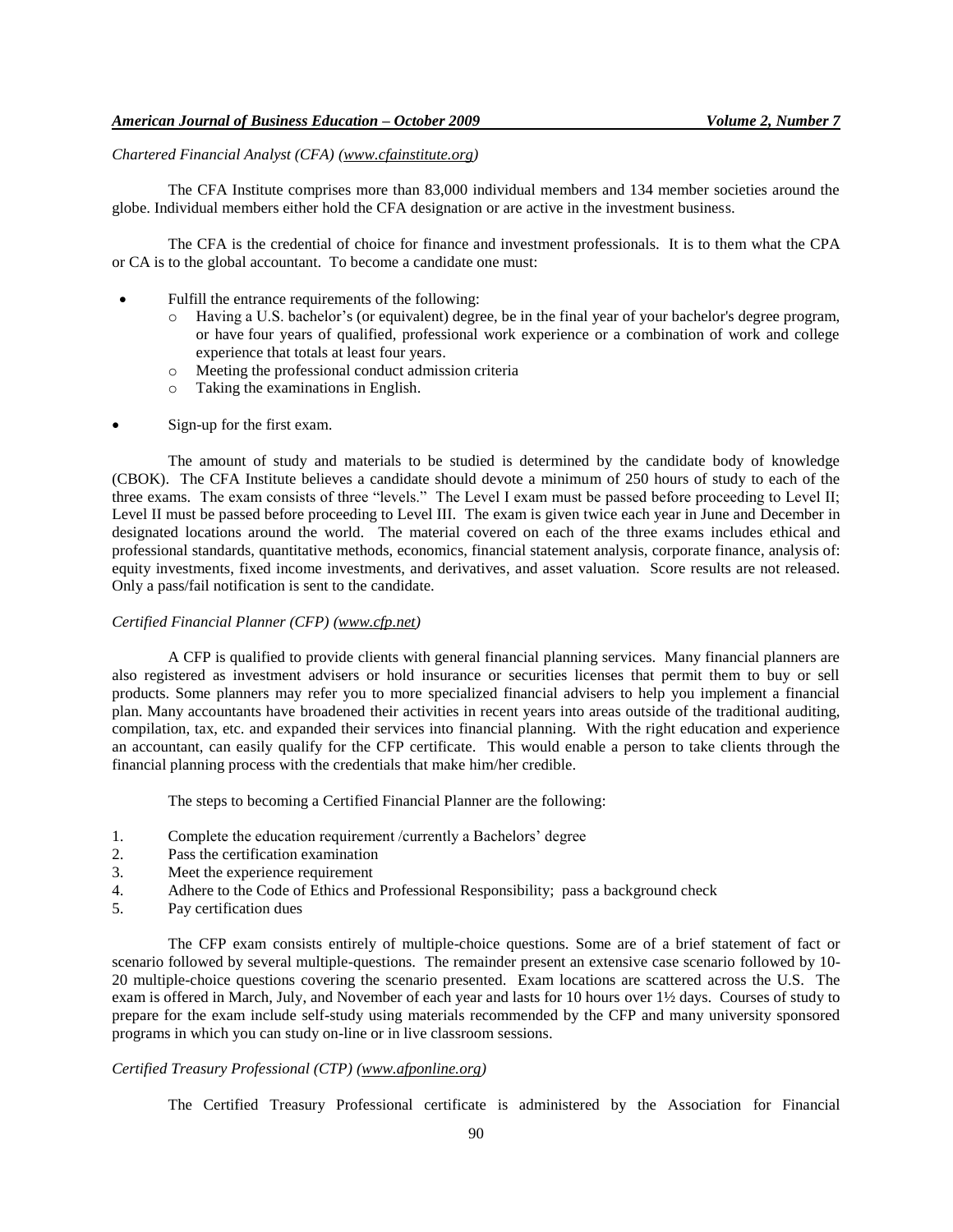## *Chartered Financial Analyst (CFA) [\(www.cfainstitute.org\)](http://www.cfainstitute.org/)*

The CFA Institute comprises more than 83,000 individual members and 134 member societies around the globe. Individual members either hold the CFA designation or are active in the investment business.

The CFA is the credential of choice for finance and investment professionals. It is to them what the CPA or CA is to the global accountant. To become a candidate one must:

- Fulfill the entrance requirements of the following:
	- o Having a U.S. bachelor's (or equivalent) degree, be in the final year of your bachelor's degree program, or have four years of qualified, professional work experience or a combination of work and college experience that totals at least four years.
	- o Meeting the professional conduct admission criteria
	- o Taking the examinations in English.
- Sign-up for the first exam.

The amount of study and materials to be studied is determined by the candidate body of knowledge (CBOK). The CFA Institute believes a candidate should devote a minimum of 250 hours of study to each of the three exams. The exam consists of three "levels." The Level I exam must be passed before proceeding to Level II; Level II must be passed before proceeding to Level III. The exam is given twice each year in June and December in designated locations around the world. The material covered on each of the three exams includes ethical and professional standards, quantitative methods, economics, financial statement analysis, corporate finance, analysis of: equity investments, fixed income investments, and derivatives, and asset valuation. Score results are not released. Only a pass/fail notification is sent to the candidate.

#### *Certified Financial Planner (CFP) [\(www.cfp.net\)](http://www.cfp.net/)*

A CFP is qualified to provide clients with general financial planning services. Many financial planners are also registered as investment advisers or hold insurance or securities licenses that permit them to buy or sell products. Some planners may refer you to more specialized financial advisers to help you implement a financial plan. Many accountants have broadened their activities in recent years into areas outside of the traditional auditing, compilation, tax, etc. and expanded their services into financial planning. With the right education and experience an accountant, can easily qualify for the CFP certificate. This would enable a person to take clients through the financial planning process with the credentials that make him/her credible.

The steps to becoming a Certified Financial Planner are the following:

- 1. Complete the education requirement /currently a Bachelors' degree
- 2. Pass the certification examination
- 3. Meet the experience requirement
- 4. Adhere to the Code of Ethics and Professional Responsibility; pass a background check
- 5. Pay certification dues

The CFP exam consists entirely of multiple-choice questions. Some are of a brief statement of fact or scenario followed by several multiple-questions. The remainder present an extensive case scenario followed by 10- 20 multiple-choice questions covering the scenario presented. Exam locations are scattered across the U.S. The exam is offered in March, July, and November of each year and lasts for 10 hours over 1½ days. Courses of study to prepare for the exam include self-study using materials recommended by the CFP and many university sponsored programs in which you can study on-line or in live classroom sessions.

## *Certified Treasury Professional (CTP) [\(www.afponline.org\)](http://www.afponline.org/)*

The Certified Treasury Professional certificate is administered by the Association for Financial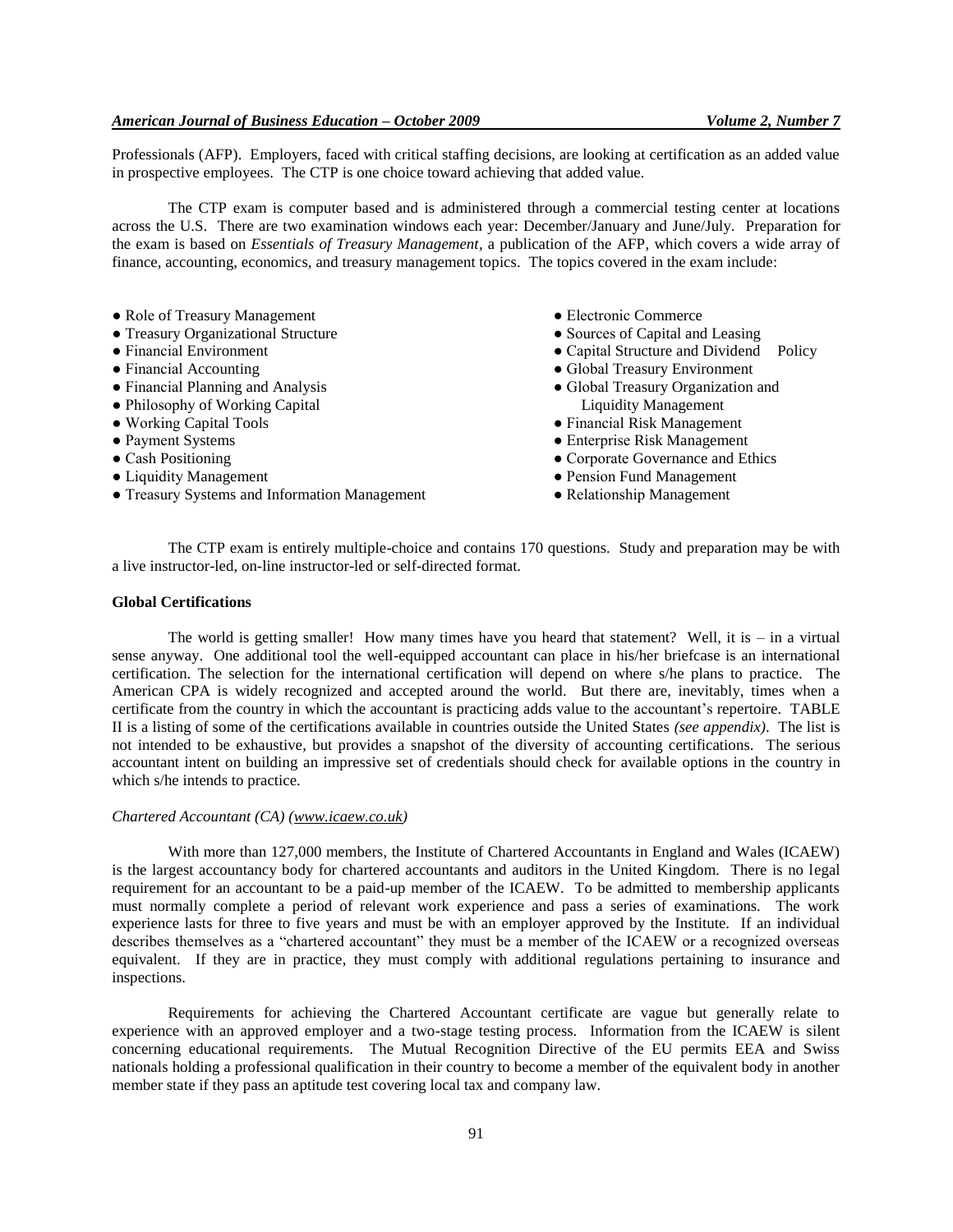#### *American Journal of Business Education – October 2009 Volume 2, Number 7*

Professionals (AFP). Employers, faced with critical staffing decisions, are looking at certification as an added value in prospective employees. The CTP is one choice toward achieving that added value.

The CTP exam is computer based and is administered through a commercial testing center at locations across the U.S. There are two examination windows each year: December/January and June/July. Preparation for the exam is based on *Essentials of Treasury Management,* a publication of the AFP, which covers a wide array of finance, accounting, economics, and treasury management topics. The topics covered in the exam include:

- Role of Treasury Management
- Treasury Organizational Structure
- Financial Environment
- Financial Accounting
- Financial Planning and Analysis
- Philosophy of Working Capital
- Working Capital Tools
- Payment Systems
- Cash Positioning
- Liquidity Management
- Treasury Systems and Information Management
- Electronic Commerce
- Sources of Capital and Leasing
- Capital Structure and Dividend Policy
- Global Treasury Environment
- Global Treasury Organization and Liquidity Management
- Financial Risk Management
- Enterprise Risk Management
- Corporate Governance and Ethics
- Pension Fund Management
- Relationship Management

The CTP exam is entirely multiple-choice and contains 170 questions. Study and preparation may be with a live instructor-led, on-line instructor-led or self-directed format.

#### **Global Certifications**

The world is getting smaller! How many times have you heard that statement? Well, it is – in a virtual sense anyway. One additional tool the well-equipped accountant can place in his/her briefcase is an international certification. The selection for the international certification will depend on where s/he plans to practice. The American CPA is widely recognized and accepted around the world. But there are, inevitably, times when a certificate from the country in which the accountant is practicing adds value to the accountant's repertoire. TABLE II is a listing of some of the certifications available in countries outside the United States *(see appendix)*. The list is not intended to be exhaustive, but provides a snapshot of the diversity of accounting certifications. The serious accountant intent on building an impressive set of credentials should check for available options in the country in which s/he intends to practice.

#### *Chartered Accountant (CA) [\(www.icaew.co.uk\)](http://www.icaew.co.uk/)*

With more than 127,000 members, the Institute of Chartered Accountants in England and Wales (ICAEW) is the largest accountancy body for chartered accountants and auditors in the United Kingdom. There is no legal requirement for an accountant to be a paid-up member of the ICAEW. To be admitted to membership applicants must normally complete a period of relevant work experience and pass a series of examinations. The work experience lasts for three to five years and must be with an employer approved by the Institute. If an individual describes themselves as a "chartered accountant" they must be a member of the ICAEW or a recognized overseas equivalent. If they are in practice, they must comply with additional regulations pertaining to insurance and inspections.

Requirements for achieving the Chartered Accountant certificate are vague but generally relate to experience with an approved employer and a two-stage testing process. Information from the ICAEW is silent concerning educational requirements. The Mutual Recognition Directive of the EU permits EEA and Swiss nationals holding a professional qualification in their country to become a member of the equivalent body in another member state if they pass an aptitude test covering local tax and company law.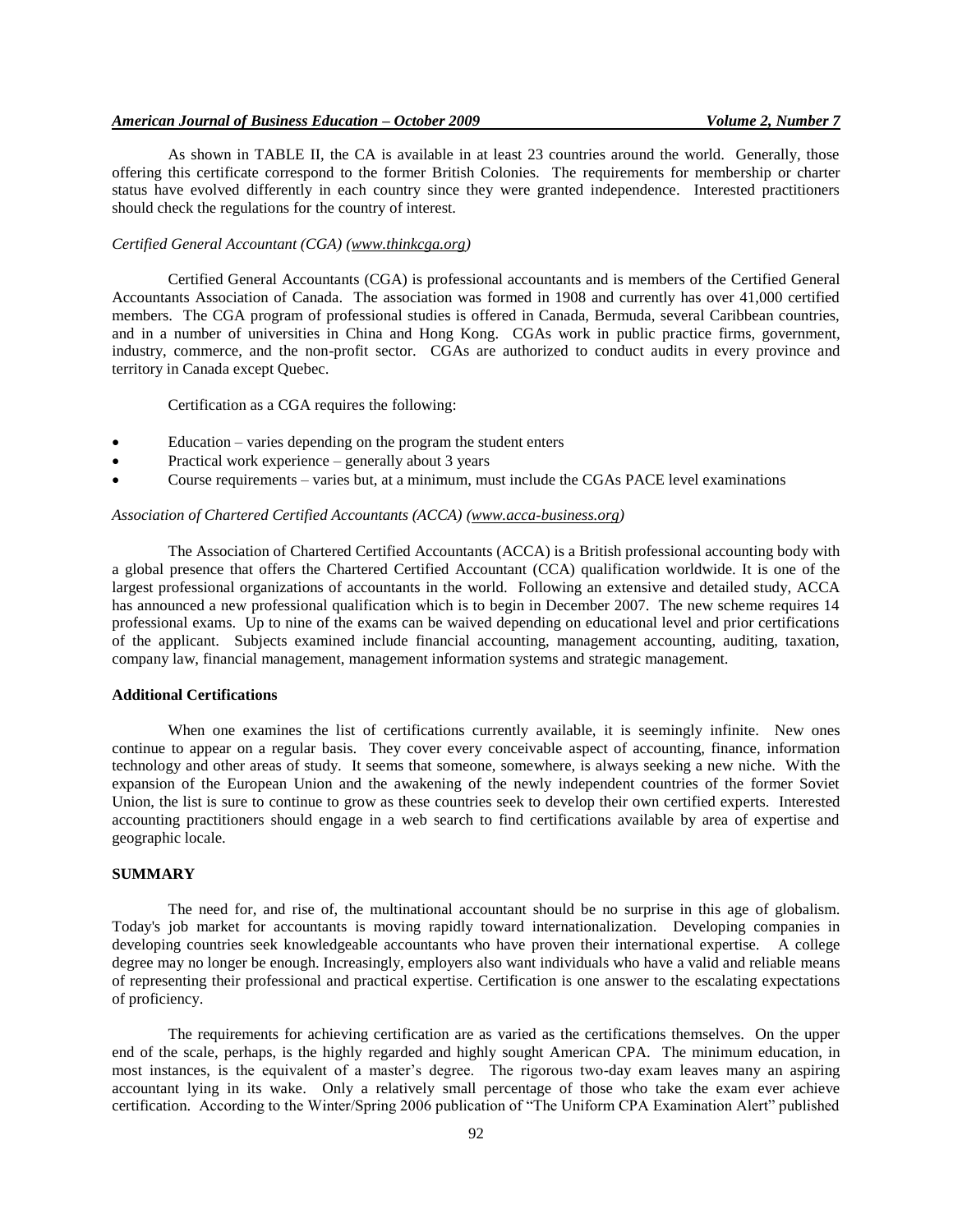## *American Journal of Business Education – October 2009 Volume 2, Number 7*

As shown in TABLE II, the CA is available in at least 23 countries around the world. Generally, those offering this certificate correspond to the former British Colonies. The requirements for membership or charter status have evolved differently in each country since they were granted independence. Interested practitioners should check the regulations for the country of interest.

#### *Certified General Accountant (CGA) [\(www.thinkcga.org\)](http://www.thinkcga.org/)*

Certified General Accountants (CGA) is professional accountants and is members of the Certified General Accountants Association of Canada. The association was formed in 1908 and currently has over 41,000 certified members. The CGA program of professional studies is offered in Canada, Bermuda, several Caribbean countries, and in a number of universities in China and Hong Kong. CGAs work in public practice firms, government, industry, commerce, and the non-profit sector. CGAs are authorized to conduct audits in every province and territory in Canada except Quebec.

Certification as a CGA requires the following:

- Education varies depending on the program the student enters
- Practical work experience generally about 3 years
- Course requirements varies but, at a minimum, must include the CGAs PACE level examinations

## *Association of Chartered Certified Accountants (ACCA) [\(www.acca-business.org\)](http://www.acca-business.org/)*

The Association of Chartered Certified Accountants (ACCA) is a British professional accounting body with a global presence that offers the Chartered Certified Accountant (CCA) qualification worldwide. It is one of the largest professional organizations of accountants in the world. Following an extensive and detailed study, ACCA has announced a new professional qualification which is to begin in December 2007. The new scheme requires 14 professional exams. Up to nine of the exams can be waived depending on educational level and prior certifications of the applicant. Subjects examined include financial accounting, management accounting, auditing, taxation, company law, financial management, management information systems and strategic management.

## **Additional Certifications**

When one examines the list of certifications currently available, it is seemingly infinite. New ones continue to appear on a regular basis. They cover every conceivable aspect of accounting, finance, information technology and other areas of study. It seems that someone, somewhere, is always seeking a new niche. With the expansion of the European Union and the awakening of the newly independent countries of the former Soviet Union, the list is sure to continue to grow as these countries seek to develop their own certified experts. Interested accounting practitioners should engage in a web search to find certifications available by area of expertise and geographic locale.

## **SUMMARY**

The need for, and rise of, the multinational accountant should be no surprise in this age of globalism. Today's job market for accountants is moving rapidly toward internationalization. Developing companies in developing countries seek knowledgeable accountants who have proven their international expertise. A college degree may no longer be enough. Increasingly, employers also want individuals who have a valid and reliable means of representing their professional and practical expertise. Certification is one answer to the escalating expectations of proficiency.

The requirements for achieving certification are as varied as the certifications themselves. On the upper end of the scale, perhaps, is the highly regarded and highly sought American CPA. The minimum education, in most instances, is the equivalent of a master's degree. The rigorous two-day exam leaves many an aspiring accountant lying in its wake. Only a relatively small percentage of those who take the exam ever achieve certification. According to the Winter/Spring 2006 publication of "The Uniform CPA Examination Alert" published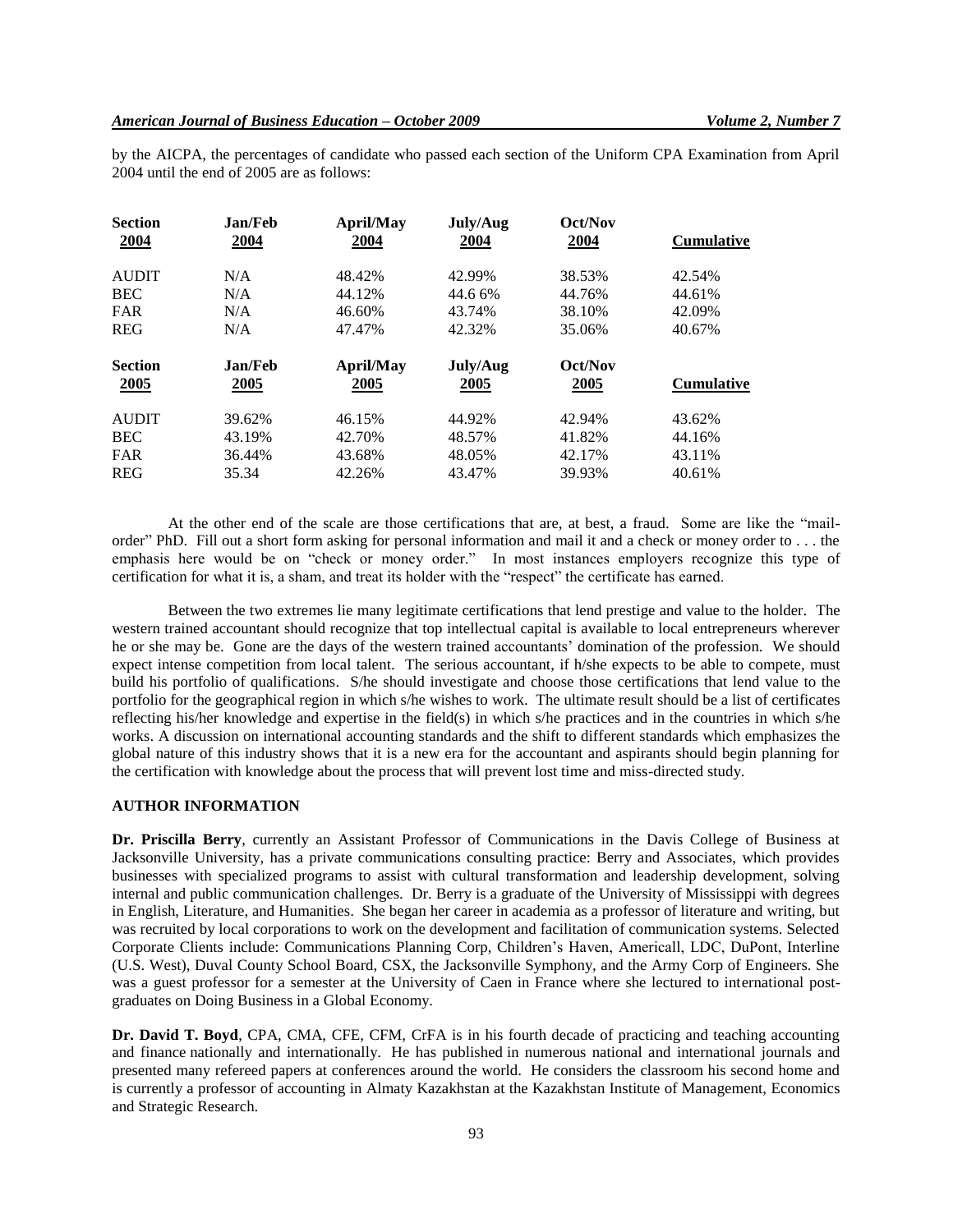by the AICPA, the percentages of candidate who passed each section of the Uniform CPA Examination from April 2004 until the end of 2005 are as follows:

| <b>Section</b><br>2004 | Jan/Feb<br>2004 | April/May<br>2004 | July/Aug<br>2004 | Oct/Nov<br>2004 | <b>Cumulative</b> |
|------------------------|-----------------|-------------------|------------------|-----------------|-------------------|
| <b>AUDIT</b>           | N/A             | 48.42%            | 42.99%           | 38.53%          | 42.54%            |
| <b>BEC</b>             | N/A             | 44.12%            | 44.6 6%          | 44.76%          | 44.61%            |
| <b>FAR</b>             | N/A             | 46.60%            | 43.74%           | 38.10%          | 42.09%            |
| <b>REG</b>             | N/A             | 47.47%            | 42.32%           | 35.06%          | 40.67%            |
|                        |                 |                   |                  |                 |                   |
| <b>Section</b>         | Jan/Feb         | April/May         | July/Aug         | Oct/Nov         |                   |
| 2005                   | 2005            | 2005              | 2005             | 2005            | <b>Cumulative</b> |
| <b>AUDIT</b>           | 39.62%          | 46.15%            | 44.92%           | 42.94%          | 43.62%            |
| <b>BEC</b>             | 43.19%          | 42.70%            | 48.57%           | 41.82%          | 44.16%            |
| <b>FAR</b>             | 36.44%          | 43.68%            | 48.05%           | 42.17%          | 43.11%            |

At the other end of the scale are those certifications that are, at best, a fraud. Some are like the "mailorder" PhD. Fill out a short form asking for personal information and mail it and a check or money order to . . . the emphasis here would be on "check or money order." In most instances employers recognize this type of certification for what it is, a sham, and treat its holder with the "respect" the certificate has earned.

Between the two extremes lie many legitimate certifications that lend prestige and value to the holder. The western trained accountant should recognize that top intellectual capital is available to local entrepreneurs wherever he or she may be. Gone are the days of the western trained accountants' domination of the profession. We should expect intense competition from local talent. The serious accountant, if h/she expects to be able to compete, must build his portfolio of qualifications. S/he should investigate and choose those certifications that lend value to the portfolio for the geographical region in which s/he wishes to work. The ultimate result should be a list of certificates reflecting his/her knowledge and expertise in the field(s) in which s/he practices and in the countries in which s/he works. A discussion on international accounting standards and the shift to different standards which emphasizes the global nature of this industry shows that it is a new era for the accountant and aspirants should begin planning for the certification with knowledge about the process that will prevent lost time and miss-directed study.

## **AUTHOR INFORMATION**

**Dr. Priscilla Berry**, currently an Assistant Professor of Communications in the Davis College of Business at Jacksonville University, has a private communications consulting practice: Berry and Associates, which provides businesses with specialized programs to assist with cultural transformation and leadership development, solving internal and public communication challenges. Dr. Berry is a graduate of the University of Mississippi with degrees in English, Literature, and Humanities. She began her career in academia as a professor of literature and writing, but was recruited by local corporations to work on the development and facilitation of communication systems. Selected Corporate Clients include: Communications Planning Corp, Children's Haven, Americall, LDC, DuPont, Interline (U.S. West), Duval County School Board, CSX, the Jacksonville Symphony, and the Army Corp of Engineers. She was a guest professor for a semester at the University of Caen in France where she lectured to international postgraduates on Doing Business in a Global Economy.

**Dr. David T. Boyd**, CPA, CMA, CFE, CFM, CrFA is in his fourth decade of practicing and teaching accounting and finance nationally and internationally. He has published in numerous national and international journals and presented many refereed papers at conferences around the world. He considers the classroom his second home and is currently a professor of accounting in Almaty Kazakhstan at the Kazakhstan Institute of Management, Economics and Strategic Research.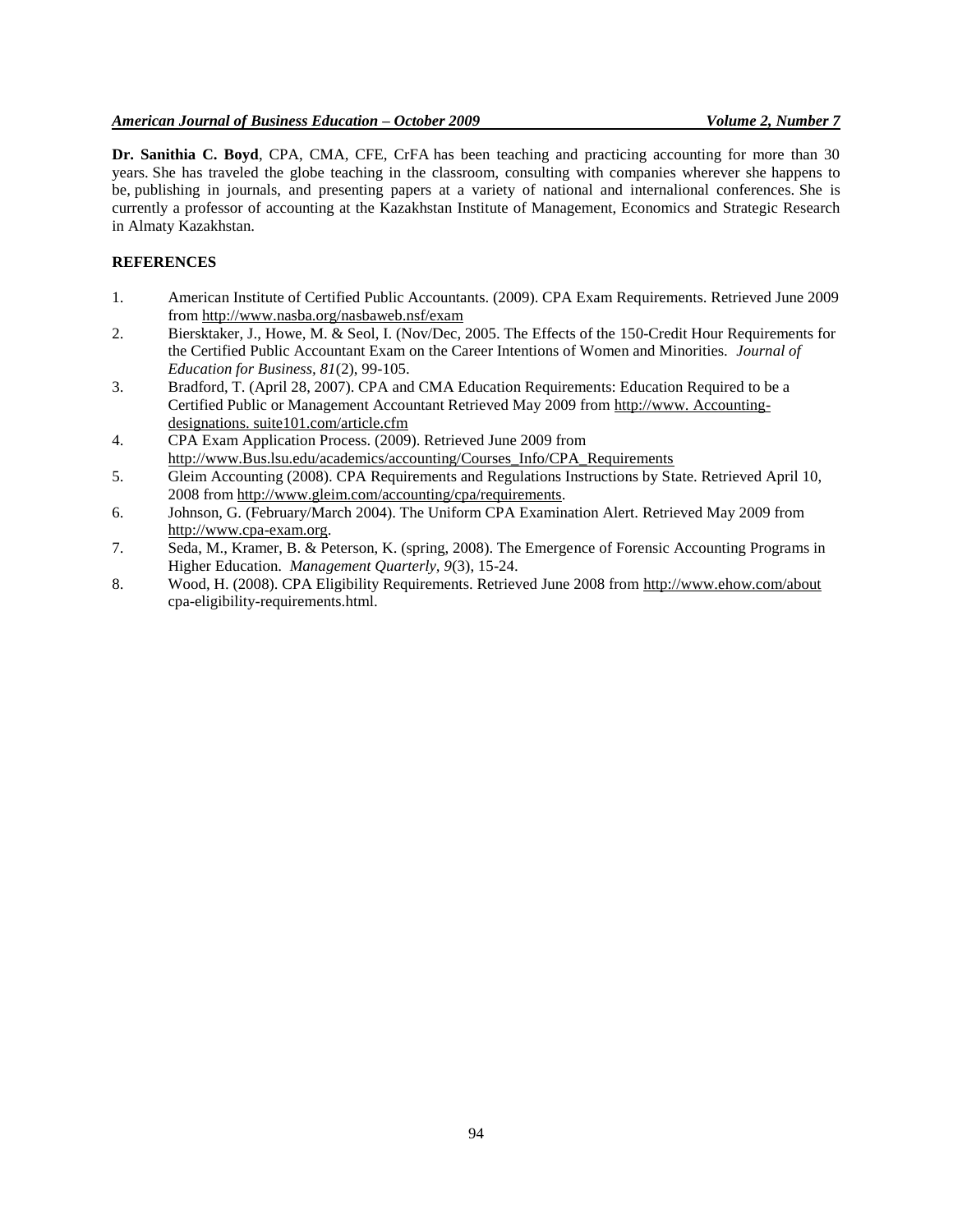**Dr. Sanithia C. Boyd**, CPA, CMA, CFE, CrFA has been teaching and practicing accounting for more than 30 years. She has traveled the globe teaching in the classroom, consulting with companies wherever she happens to be, publishing in journals, and presenting papers at a variety of national and internalional conferences. She is currently a professor of accounting at the Kazakhstan Institute of Management, Economics and Strategic Research in Almaty Kazakhstan.

## **REFERENCES**

- 1. American Institute of Certified Public Accountants. (2009). CPA Exam Requirements. Retrieved June 2009 from<http://www.nasba.org/nasbaweb.nsf/exam>
- 2. Biersktaker, J., Howe, M. & Seol, I. (Nov/Dec, 2005. The Effects of the 150-Credit Hour Requirements for the Certified Public Accountant Exam on the Career Intentions of Women and Minorities. *Journal of Education for Business, 81*(2), 99-105.
- 3. Bradford, T. (April 28, 2007). CPA and CMA Education Requirements: Education Required to be a Certified Public or Management Accountant Retrieved May 2009 from [http://www.](http://www/) Accountingdesignations. suite101.com/article.cfm
- 4. CPA Exam Application Process. (2009). Retrieved June 2009 from [http://www.B](http://www/)us.lsu.edu/academics/accounting/Courses\_Info/CPA\_Requirements
- 5. Gleim Accounting (2008). CPA Requirements and Regulations Instructions by State. Retrieved April 10, 2008 fro[m http://www.gleim.com/accounting/cpa/requirements.](http://www.gleim.com/accounting/cpa/requirements)
- 6. Johnson, G. (February/March 2004). The Uniform CPA Examination Alert. Retrieved May 2009 from [http://www.cpa-exam.org.](http://www.cpa-exam.org/)
- 7. Seda, M., Kramer, B. & Peterson, K. (spring, 2008). The Emergence of Forensic Accounting Programs in Higher Education. *Management Quarterly, 9*(3), 15-24.
- 8. Wood, H. (2008). CPA Eligibility Requirements. Retrieved June 2008 from<http://www.ehow.com/about> cpa-eligibility-requirements.html.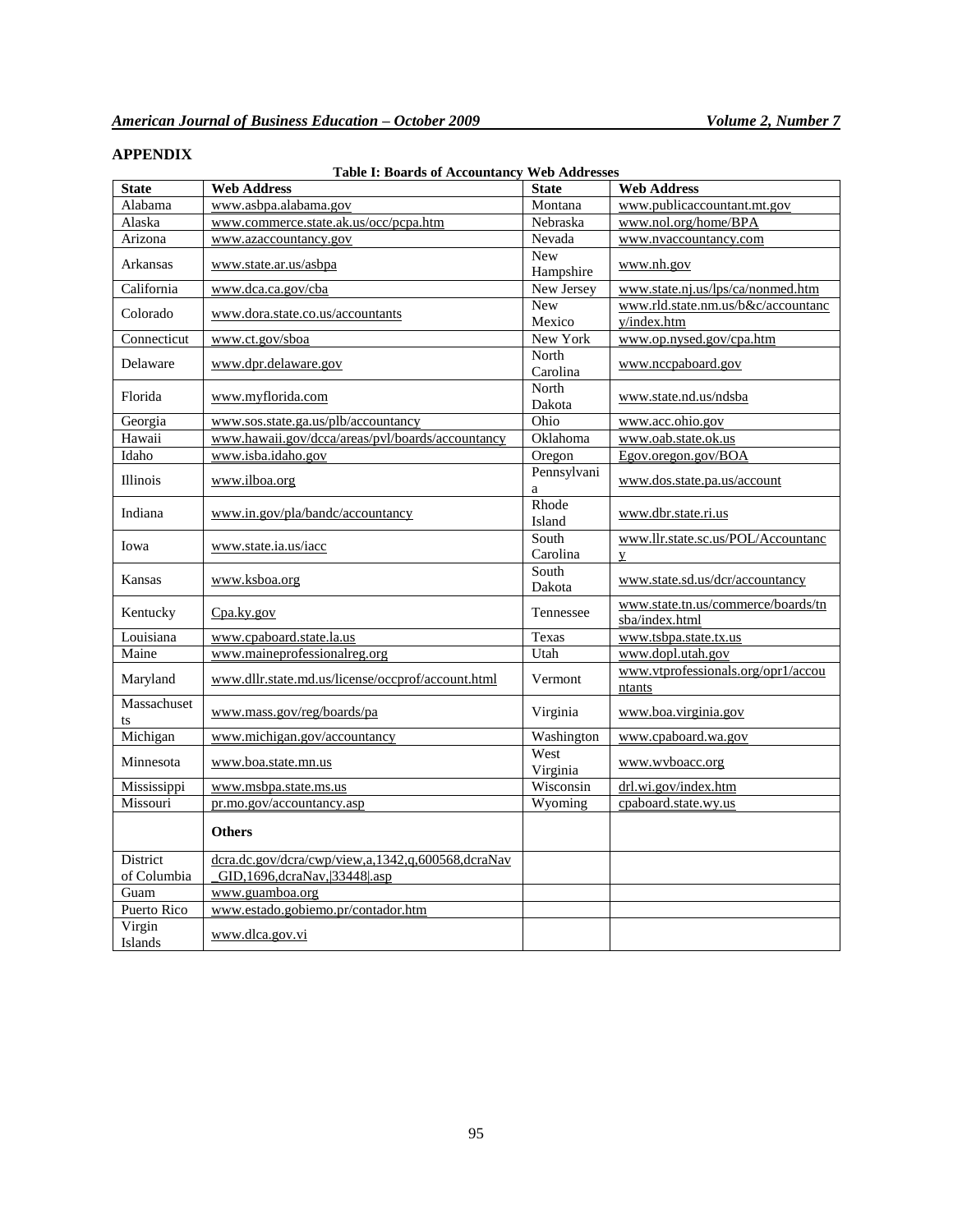# **APPENDIX**

# **Table I: Boards of Accountancy Web Addresses**

| <b>State</b>      | <b>Web Address</b>                                | <b>State</b>            | <b>Web Address</b>                                   |
|-------------------|---------------------------------------------------|-------------------------|------------------------------------------------------|
| Alabama           | www.asbpa.alabama.gov                             | Montana                 | www.publicaccountant.mt.gov                          |
| Alaska            | www.commerce.state.ak.us/occ/pcpa.htm             | Nebraska                | www.nol.org/home/BPA                                 |
| Arizona           | www.azaccountancy.gov                             | Nevada                  | www.nvaccountancy.com                                |
| Arkansas          | www.state.ar.us/asbpa                             | <b>New</b><br>Hampshire | www.nh.gov                                           |
| California        | www.dca.ca.gov/cba                                | New Jersey              | www.state.nj.us/lps/ca/nonmed.htm                    |
| Colorado          | www.dora.state.co.us/accountants                  | <b>New</b>              | www.rld.state.nm.us/b&c/accountanc                   |
|                   |                                                   | Mexico                  | y/index.htm                                          |
| Connecticut       | www.ct.gov/sboa                                   | New York                | www.op.nysed.gov/cpa.htm                             |
| Delaware          | www.dpr.delaware.gov                              | North<br>Carolina       | www.nccpaboard.gov                                   |
| Florida           | www.myflorida.com                                 | North<br>Dakota         | www.state.nd.us/ndsba                                |
| Georgia           | www.sos.state.ga.us/plb/accountancy               | Ohio                    | www.acc.ohio.gov                                     |
| Hawaii            | www.hawaii.gov/dcca/areas/pvl/boards/accountancy  | Oklahoma                | www.oab.state.ok.us                                  |
| Idaho             | www.isba.idaho.gov                                | Oregon                  | Egov.oregon.gov/BOA                                  |
| <b>Illinois</b>   | www.ilboa.org                                     | Pennsylvani<br>a        | www.dos.state.pa.us/account                          |
| Indiana           | www.in.gov/pla/bandc/accountancy                  | Rhode<br>Island         | www.dbr.state.ri.us                                  |
| Iowa              | www.state.ia.us/iacc                              | South<br>Carolina       | www.llr.state.sc.us/POL/Accountanc<br>$\mathbf{Y}$   |
| Kansas            | www.ksboa.org                                     | South<br>Dakota         | www.state.sd.us/dcr/accountancy                      |
| Kentucky          | Cpa.ky.gov                                        | Tennessee               | www.state.tn.us/commerce/boards/tn<br>sba/index.html |
| Louisiana         | www.cpaboard.state.la.us                          | Texas                   | www.tsbpa.state.tx.us                                |
| Maine             | www.maineprofessionalreg.org                      | Utah                    | www.dopl.utah.gov                                    |
| Maryland          | www.dllr.state.md.us/license/occprof/account.html | Vermont                 | www.vtprofessionals.org/opr1/accou<br>ntants         |
| Massachuset<br>ts | www.mass.gov/reg/boards/pa                        | Virginia                | www.boa.virginia.gov                                 |
| Michigan          | www.michigan.gov/accountancy                      | Washington              | www.cpaboard.wa.gov                                  |
| Minnesota         | www.boa.state.mn.us                               | West<br>Virginia        | www.wvboacc.org                                      |
| Mississippi       | www.msbpa.state.ms.us                             | Wisconsin               | drl.wi.gov/index.htm                                 |
| Missouri          | pr.mo.gov/accountancy.asp                         | Wyoming                 | cpaboard.state.wy.us                                 |
|                   | <b>Others</b>                                     |                         |                                                      |
| <b>District</b>   | dcra.dc.gov/dcra/cwp/view,a,1342,q,600568,dcraNav |                         |                                                      |
| of Columbia       | GID, 1696, dcraNav, 33448 .asp                    |                         |                                                      |
| Guam              | www.guamboa.org                                   |                         |                                                      |
| Puerto Rico       | www.estado.gobiemo.pr/contador.htm                |                         |                                                      |
| Virgin<br>Islands | www.dlca.gov.vi                                   |                         |                                                      |